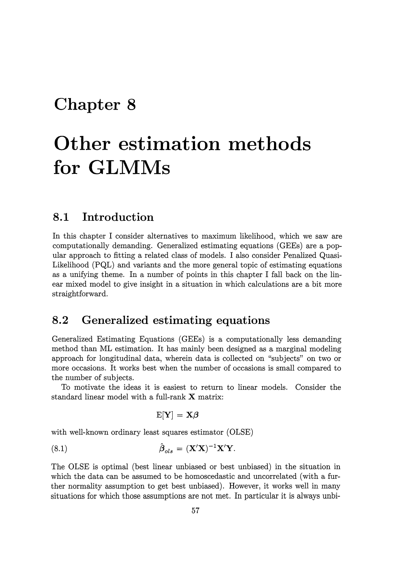## **Chapter 8**

# **Other estimation methods for GLMMs**

### **8.1 Introduction**

In this chapter I consider alternatives to maximum likelihood, which we saw are computationally demanding. Generalized estimating equations (GEEs) are a popular approach to fitting a related class of models. I also consider Penalized Quasi-Likelihood (PQL) and variants and the more general topic of estimating equations as a unifying theme. In a number of points in this chapter I fall back on the linear mixed model to give insight in a situation in which calculations are a bit more straightforward.

### **8.2 Generalized estimating equations**

Generalized Estimating Equations (GEEs) is a computationally less demanding method than ML estimation. It has mainly been designed as a marginal modeling approach for longitudinal data, wherein data is collected on "subjects" on two or more occasions. It works best when the number of occasions is small compared to the number of subjects.

To motivate the ideas it is easiest to return to linear models. Consider the standard linear model with a full-rank X matrix:

$$
\mathrm{E}[\mathbf{Y}] = \mathbf{X}\boldsymbol{\beta}
$$

with well-known ordinary least squares estimator (OLSE)

(8.1) 
$$
\hat{\boldsymbol{\beta}}_{ols} = (\mathbf{X}'\mathbf{X})^{-1}\mathbf{X}'\mathbf{Y}.
$$

The OLSE is optimal (best linear unbiased or best unbiased) in the situation in which the data can be assumed to be homoscedastic and uncorrelated (with a further normality assumption to get best unbiased). However, it works well in many situations for which those assumptions are not met. In particular it is always unbi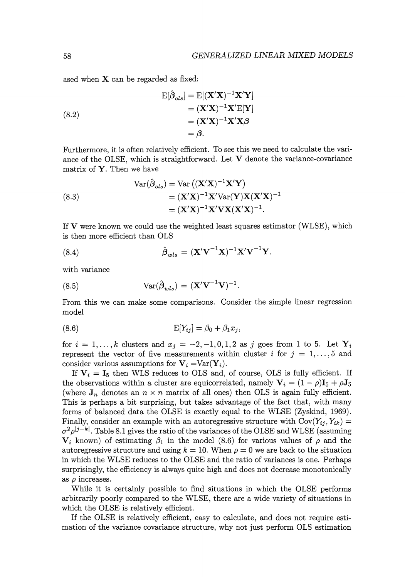ased when  $X$  can be regarded as fixed:

(8.2)  
\n
$$
\begin{aligned}\n\mathbf{E}[\hat{\beta}_{ols}] &= \mathbf{E}[(\mathbf{X}'\mathbf{X})^{-1}\mathbf{X}'\mathbf{Y}] \\
&= (\mathbf{X}'\mathbf{X})^{-1}\mathbf{X}'\mathbf{E}[\mathbf{Y}] \\
&= (\mathbf{X}'\mathbf{X})^{-1}\mathbf{X}'\mathbf{X}\boldsymbol{\beta} \\
&= \boldsymbol{\beta}.\n\end{aligned}
$$

Furthermore, it is often relatively efficient. To see this we need to calculate the variance of the OLSE, which is straightforward. Let  $V$  denote the variance-covariance matrix of  $Y$ . Then we have

(8.3)  
\n
$$
\operatorname{Var}(\hat{\beta}_{ols}) = \operatorname{Var}((\mathbf{X}'\mathbf{X})^{-1}\mathbf{X}'\mathbf{Y})
$$
\n
$$
= (\mathbf{X}'\mathbf{X})^{-1}\mathbf{X}'\operatorname{Var}(\mathbf{Y})\mathbf{X}(\mathbf{X}'\mathbf{X})^{-1}
$$
\n
$$
= (\mathbf{X}'\mathbf{X})^{-1}\mathbf{X}'\mathbf{V}\mathbf{X}(\mathbf{X}'\mathbf{X})^{-1}.
$$

If  $V$  were known we could use the weighted least squares estimator (WLSE), which is then more efficient than OLS

(8.4) 
$$
\hat{\boldsymbol{\beta}}_{wls} = (\mathbf{X}'\mathbf{V}^{-1}\mathbf{X})^{-1}\mathbf{X}'\mathbf{V}^{-1}\mathbf{Y}.
$$

with variance

(8.5) 
$$
Var(\hat{\boldsymbol{\beta}}_{wls}) = (\mathbf{X}'\mathbf{V}^{-1}\mathbf{V})^{-1}.
$$

From this we can make some comparisons. Consider the simple linear regression model

$$
E[Y_{ij}] = \beta_0 + \beta_1 x_j,
$$

for  $i = 1, \ldots, k$  clusters and  $x_j = -2, -1, 0, 1, 2$  as j goes from 1 to 5. Let  $Y_i$ represent the vector of five measurements within cluster i for  $j = 1, \ldots, 5$  and consider various assumptions for  $V_i = Var(Y_i)$ .

If  $V_i = I_5$  then WLS reduces to OLS and, of course, OLS is fully efficient. If the observations within a cluster are equicorrelated, namely  $\mathbf{V}_i = (1-\rho)\mathbf{I}_5 + \rho \mathbf{J}_5$ (where  $J_n$  denotes an  $n \times n$  matrix of all ones) then OLS is again fully efficient. This is perhaps a bit surprising, but takes advantage of the fact that, with many forms of balanced data the OLSE is exactly equal to the WLSE (Zyskind, 1969). Finally, consider an example with an autoregressive structure with  $Cov(Y_{ij}, Y_{ik}) =$  $\sigma^2 \rho^{j-k}$ . Table 8.1 gives the ratio of the variances of the OLSE and WLSE (assuming  $V_i$  known) of estimating  $\beta_1$  in the model (8.6) for various values of  $\rho$  and the autoregressive structure and using  $k = 10$ . When  $\rho = 0$  we are back to the situation in which the WLSE reduces to the OLSE and the ratio of variances is one. Perhaps surprisingly, the efficiency is always quite high and does not decrease monotonically as  $\rho$  increases.

While it is certainly possible to find situations in which the OLSE performs arbitrarily poorly compared to the WLSE, there are a wide variety of situations in which the OLSE is relatively efficient.

If the OLSE is relatively efficient, easy to calculate, and does not require estimation of the variance covariance structure, why not just perform OLS estimation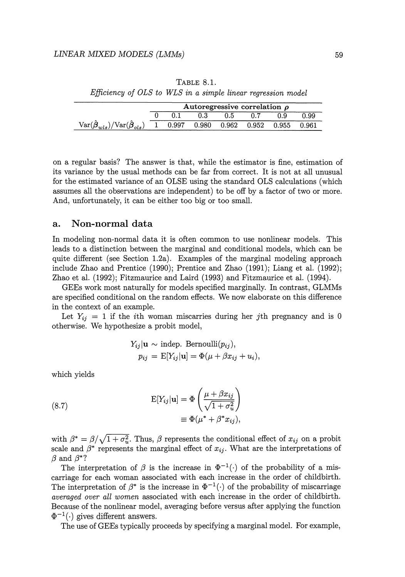| ٧<br>I | ۰. |
|--------|----|

| TABLE 8.1.                                                   |  |  |  |  |  |
|--------------------------------------------------------------|--|--|--|--|--|
| Efficiency of OLS to WLS in a simple linear regression model |  |  |  |  |  |

|                                                                                         | Autoregressive correlation $\rho$ |       |  |     |  |                                 |             |
|-----------------------------------------------------------------------------------------|-----------------------------------|-------|--|-----|--|---------------------------------|-------------|
|                                                                                         |                                   |       |  | 0.5 |  | 0.9                             | 0.99        |
| $\text{Var}(\hat{\boldsymbol{\beta}}_{wls})/\text{Var}(\hat{\boldsymbol{\beta}}_{ols})$ |                                   | 0.997 |  |     |  | $0.980$ $0.962$ $0.952$ $0.955$ | $\,0.961\,$ |

on a regular basis? The answer is that, while the estimator is fine, estimation of its variance by the usual methods can be far from correct. It is not at all unusual for the estimated variance of an OLSE using the standard OLS calculations (which assumes all the observations are independent) to be off by a factor of two or more. And, unfortunately, it can be either too big or too small.

#### **a. Non-normal data**

In modeling non-normal data it is often common to use nonlinear models. This leads to a distinction between the marginal and conditional models, which can be quite different (see Section 1.2a). Examples of the marginal modeling approach include Zhao and Prentice (1990); Prentice and Zhao (1991); Liang et al. (1992); Zhao et al. (1992); Fitzmaurice and Laird (1993) and Fitzmaurice et al. (1994).

GEEs work most naturally for models specified marginally. In contrast, GLMMs are specified conditional on the random effects. We now elaborate on this difference in the context of an example.

Let  $Y_{ii} = 1$  if the *i*th woman miscarries during her *j*th pregnancy and is 0 otherwise. We hypothesize a probit model,

$$
Y_{ij}|\mathbf{u} \sim \text{indep. Bernoulli}(p_{ij}),
$$
  
\n
$$
p_{ij} = \text{E}[Y_{ij}|\mathbf{u}] = \Phi(\mu + \beta x_{ij} + u_i),
$$

which yields

(8.7) 
$$
\mathbf{E}[Y_{ij}|\mathbf{u}] = \Phi\left(\frac{\mu + \beta x_{ij}}{\sqrt{1 + \sigma_u^2}}\right) \equiv \Phi(\mu^* + \beta^* x_{ij}),
$$

with  $\beta^* = \beta / \sqrt{1 + \sigma_u^2}$ . Thus,  $\beta$  represents the conditional effect of  $x_{ij}$  on a probit scale and  $\beta^*$  represents the marginal effect of  $x_{ij}$ . What are the interpretations of  $\beta$  and  $\beta$ <sup>\*</sup>?

The interpretation of  $\beta$  is the increase in  $\Phi^{-1}(\cdot)$  of the probability of a miscarriage for each woman associated with each increase in the order of childbirth. The interpretation of  $\beta^*$  is the increase in  $\Phi^{-1}(\cdot)$  of the probability of miscarriage *averaged over all women* associated with each increase in the order of childbirth. Because of the nonlinear model, averaging before versus after applying the function  $\Phi^{-1}(\cdot)$  gives different answers.

The use of GEEs typically proceeds by specifying a marginal model. For example,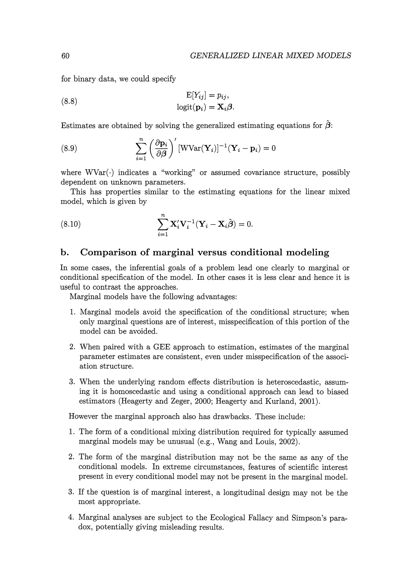for binary data, we could specify

(8.8) 
$$
E[Y_{ij}] = p_{ij},
$$

$$
logit(\mathbf{p}_i) = \mathbf{X}_i \boldsymbol{\beta}.
$$

Estimates are obtained by solving the generalized estimating equations for  $\hat{\beta}$ :

(8.9) 
$$
\sum_{i=1}^{n} \left(\frac{\partial \mathbf{p}_i}{\partial \boldsymbol{\beta}}\right)' [\text{WVar}(\mathbf{Y}_i)]^{-1} (\mathbf{Y}_i - \mathbf{p}_i) = 0
$$

where  $WVar(\cdot)$  indicates a "working" or assumed covariance structure, possibly dependent on unknown parameters.

This has properties similar to the estimating equations for the linear mixed model, which is given by

(8.10) 
$$
\sum_{i=1}^{n} \mathbf{X}'_i \mathbf{V}_i^{-1} (\mathbf{Y}_i - \mathbf{X}_i \hat{\boldsymbol{\beta}}) = 0.
$$

#### **b. Comparison of marginal versus conditional modeling**

In some cases, the inferential goals of a problem lead one clearly to marginal or conditional specification of the model. In other cases it is less clear and hence it is useful to contrast the approaches.

Marginal models have the following advantages:

- 1. Marginal models avoid the specification of the conditional structure; when only marginal questions are of interest, misspecification of this portion of the model can be avoided.
- 2. When paired with a GEE approach to estimation, estimates of the marginal parameter estimates are consistent, even under misspecification of the association structure.
- 3. When the underlying random effects distribution is heteroscedastic, assuming it is homoscedastic and using a conditional approach can lead to biased estimators (Heagerty and Zeger, 2000; Heagerty and Kurland, 2001).

However the marginal approach also has drawbacks. These include:

- 1. The form of a conditional mixing distribution required for typically assumed marginal models may be unusual (e.g., Wang and Louis, 2002).
- 2. The form of the marginal distribution may not be the same as any of the conditional models. In extreme circumstances, features of scientific interest present in every conditional model may not be present in the marginal model.
- 3. If the question is of marginal interest, a longitudinal design may not be the most appropriate.
- 4. Marginal analyses are subject to the Ecological Fallacy and Simpson's paradox, potentially giving misleading results.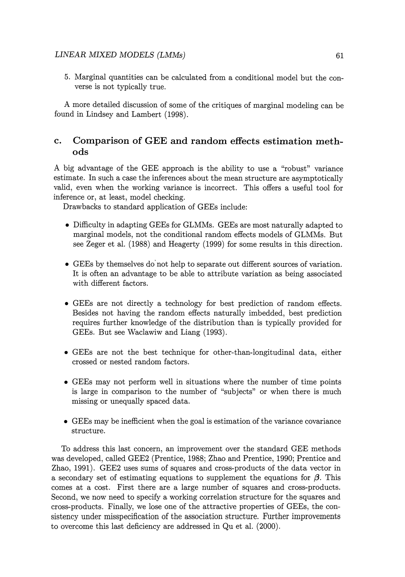5. Marginal quantities can be calculated from a conditional model but the converse is not typically true.

A more detailed discussion of some of the critiques of marginal modeling can be found in Lindsey and Lambert (1998).

#### **c. Comparison of GEE and random effects estimation methods**

A big advantage of the GEE approach is the ability to use a "robust" variance estimate. In such a case the inferences about the mean structure are asymptotically valid, even when the working variance is incorrect. This offers a useful tool for inference or, at least, model checking.

Drawbacks to standard application of GEEs include:

- Difficulty in adapting GEEs for GLMMs. GEEs are most naturally adapted to marginal models, not the conditional random effects models of GLMMs. But see Zeger et al. (1988) and Heagerty (1999) for some results in this direction.
- GEEs by themselves do· not help to separate out different sources of variation. It is often an advantage to be able to attribute variation as being associated with different factors.
- GEEs are not directly a technology for best prediction of random effects. Besides not having the random effects naturally imbedded, best prediction requires further knowledge of the distribution than is typically provided for GEEs. But see Waclawiw and Liang (1993).
- GEEs are not the best technique for other-than-longitudinal data, either crossed or nested random factors.
- GEEs may not perform well in situations where the number of time points is large in comparison to the number of "subjects" or when there is much missing or unequally spaced data.
- GEEs may be inefficient when the goal is estimation of the variance covariance structure.

To address this last concern, an improvement over the standard GEE methods was developed, called GEE2 (Prentice, 1988; Zhao and Prentice, 1990; Prentice and Zhao, 1991). GEE2 uses sums of squares and cross-products of the data vector in a secondary set of estimating equations to supplement the equations for  $\beta$ . This comes at a cost. First there are a large number of squares and cross-products. Second, we now need to specify a working correlation structure for the squares and cross-products. Finally, we lose one of the attractive properties of GEEs, the consistency under misspecification of the association structure. Further improvements to overcome this last deficiency are addressed in Qu et al. (2000).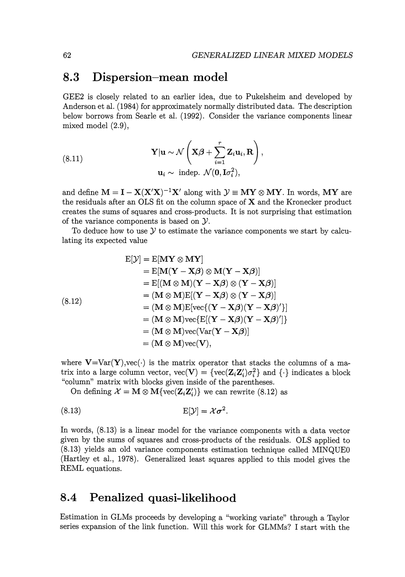### **8.3 Dispersion-mean model**

GEE2 is closely related to an earlier idea, due to Pukelsheim and developed by Anderson et al. (1984) for approximately normally distributed data. The description below borrows from Searle et al. (1992). Consider the variance components linear mixed model (2.9),

(8.11) 
$$
\mathbf{Y}|\mathbf{u} \sim \mathcal{N}\left(\mathbf{X}\boldsymbol{\beta} + \sum_{i=1}^{r} \mathbf{Z}_{i} \mathbf{u}_{i}, \mathbf{R}\right),
$$

$$
\mathbf{u}_{i} \sim \text{ indep. } \mathcal{N}(\mathbf{0}, \mathbf{I}\sigma_{i}^{2}),
$$

and define  $M = I - X(X'X)^{-1}X'$  along with  $\mathcal{Y} \equiv MY \otimes MY$ . In words, MY are the residuals after an OLS fit on the column space of X and the Kronecker product creates the sums of squares and cross-products. It is not surprising that estimation of the variance components is based on Y.

To deduce how to use  $\mathcal Y$  to estimate the variance components we start by calculating its expected value

$$
E[\mathcal{Y}] = E[MY \otimes MY]
$$
  
\n
$$
= E[M(Y - X\beta) \otimes M(Y - X\beta)]
$$
  
\n
$$
= E[(M \otimes M)(Y - X\beta) \otimes (Y - X\beta)]
$$
  
\n
$$
= (M \otimes M)E[(Y - X\beta) \otimes (Y - X\beta)]
$$
  
\n
$$
= (M \otimes M)E[vec{(Y - X\beta)(Y - X\beta)'}]
$$
  
\n
$$
= (M \otimes M)vec{E}[(Y - X\beta)(Y - X\beta)']
$$
  
\n
$$
= (M \otimes M)vec{Var}[(Y - X\beta)]
$$
  
\n
$$
= (M \otimes M)vec{Var}[(Y - X\beta)]
$$
  
\n
$$
= (M \otimes M)vec{Var}[(Y - X\beta)]
$$

where  $V=Var(Y)$ , vec( $\cdot$ ) is the matrix operator that stacks the columns of a matrix into a large column vector,  $\text{vec}(\mathbf{V}) = {\text{vec}(\mathbf{Z}_i \mathbf{Z}_i')\sigma_i^2}$  and  $\{\cdot\}$  indicates a block "column" matrix with blocks given inside of the parentheses.

On defining  $\mathcal{X} = \mathbf{M} \otimes \mathbf{M} \{ \text{vec}(\mathbf{Z}_i \mathbf{Z}_i') \}$  we can rewrite (8.12) as

$$
E[\mathcal{Y}] = \mathcal{X}\sigma^2.
$$

In words, (8.13) is a linear model for the variance components with a data vector given by the sums of squares and cross-products of the residuals. OLS applied to (8.13) yields an old variance components estimation technique called MINQUEO (Hartley et al., 1978). Generalized least squares applied to this model gives the REML equations.

### **8.4 Penalized quasi-likelihood**

Estimation in GLMs proceeds by developing a "working variate" through a Taylor series expansion of the link function. Will this work for GLMMs? I start with the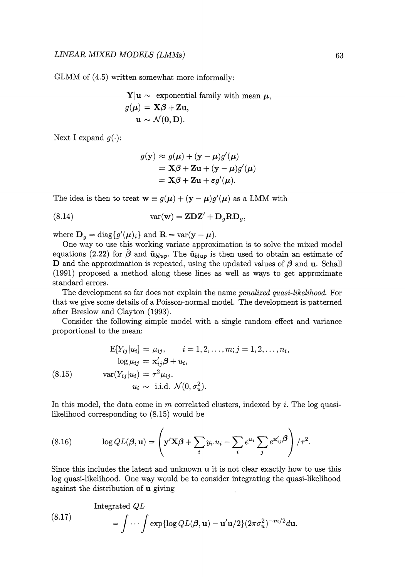$GLMM$  of  $(4.5)$  written somewhat more informally:

**Y**|**u** ~ exponential family with mean 
$$
\mu
$$
,  
 $g(\mu) = \mathbf{X}\beta + \mathbf{Z}\mathbf{u}$ ,  
**u** ~  $\mathcal{N}(\mathbf{0}, \mathbf{D})$ .

Next I expand  $q(\cdot)$ :

$$
g(\mathbf{y}) \approx g(\boldsymbol{\mu}) + (\mathbf{y} - \boldsymbol{\mu})g'(\boldsymbol{\mu})
$$
  
=  $\mathbf{X}\boldsymbol{\beta} + \mathbf{Z}\mathbf{u} + (\mathbf{y} - \boldsymbol{\mu})g'(\boldsymbol{\mu})$   
=  $\mathbf{X}\boldsymbol{\beta} + \mathbf{Z}\mathbf{u} + \boldsymbol{\varepsilon}g'(\boldsymbol{\mu}).$ 

The idea is then to treat  $\mathbf{w} \equiv g(\boldsymbol{\mu}) + (\mathbf{y} - \boldsymbol{\mu})g'(\boldsymbol{\mu})$  as a LMM with

(8.14) 
$$
var(\mathbf{w}) = \mathbf{Z} \mathbf{D} \mathbf{Z}' + \mathbf{D}_g \mathbf{R} \mathbf{D}_g,
$$

where  $\mathbf{D}_g = \text{diag}\{g'(\boldsymbol{\mu})_i\}$  and  $\mathbf{R} = \text{var}(\mathbf{y} - \boldsymbol{\mu})$ .

One way to use this working variate approximation is to solve the mixed model equations (2.22) for  $\hat{\boldsymbol{\beta}}$  and  $\tilde{\mathbf{u}}_{blup}$ . The  $\tilde{\mathbf{u}}_{blup}$  is then used to obtain an estimate of **D** and the approximation is repeated, using the updated values of  $\beta$  and **u**. Schall (1991) proposed a method along these lines as well as ways to get approximate standard errors.

The development so far does not explain the name *penalized quasi-likelihood.* For that we give some details of a Poisson-normal model. The development is patterned after Breslow and Clayton (1993).

Consider the following simple model with a single random effect and variance proportional to the mean:

(8.15) 
$$
E[Y_{ij}|u_i] = \mu_{ij}, \qquad i = 1, 2, ..., m; j = 1, 2, ..., n_i, \log \mu_{ij} = \mathbf{x}'_{ij}\boldsymbol{\beta} + u_i, \n\text{var}(Y_{ij}|u_i) = \tau^2 \mu_{ij}, \nu_i \sim \text{i.i.d. } \mathcal{N}(0, \sigma_u^2).
$$

In this model, the data come in *m* correlated clusters, indexed by *i*. The log quasilikelihood corresponding to (8.15) would be

(8.16) 
$$
\log QL(\boldsymbol{\beta}, \mathbf{u}) = \left(\mathbf{y}'\mathbf{X}\boldsymbol{\beta} + \sum_i y_i \cdot u_i - \sum_i e^{u_i} \sum_j e^{\mathbf{x}'_{ij}\boldsymbol{\beta}}\right) / \tau^2.
$$

Since this includes the latent and unknown **u** it is not clear exactly how to use this log quasi-likelihood. One way would be to consider integrating the quasi-likelihood against the distribution of **u** giving

(8.17)  
\n
$$
\text{Integrated } QL
$$
\n
$$
= \int \cdots \int \exp\{\log QL(\boldsymbol{\beta}, \mathbf{u}) - \mathbf{u}'\mathbf{u}/2\} (2\pi\sigma_u^2)^{-m/2} d\mathbf{u}.
$$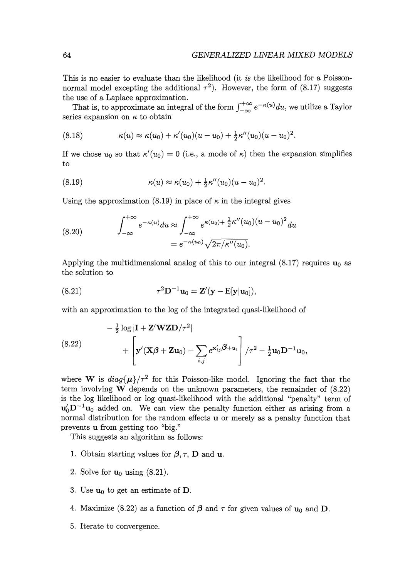This is no easier to evaluate than the likelihood (it *is* the likelihood for a Poissonnormal model excepting the additional  $\tau^2$ ). However, the form of (8.17) suggests the use of a Laplace approximation.

That is, to approximate an integral of the form  $\int_{-\infty}^{+\infty} e^{-\kappa(u)} du$ , we utilize a Taylor series expansion on  $\kappa$  to obtain

(8.18) 
$$
\kappa(u) \approx \kappa(u_0) + \kappa'(u_0)(u - u_0) + \frac{1}{2}\kappa''(u_0)(u - u_0)^2.
$$

If we chose  $u_0$  so that  $\kappa'(u_0) = 0$  (i.e., a mode of  $\kappa$ ) then the expansion simplifies to

(8.19) 
$$
\kappa(u) \approx \kappa(u_0) + \frac{1}{2}\kappa''(u_0)(u - u_0)^2.
$$

Using the approximation (8.19) in place of  $\kappa$  in the integral gives

(8.20) 
$$
\int_{-\infty}^{+\infty} e^{-\kappa(u)} du \approx \int_{-\infty}^{+\infty} e^{\kappa(u_0) + \frac{1}{2}\kappa''(u_0)(u - u_0)^2} du = e^{-\kappa(u_0)} \sqrt{2\pi/\kappa''(u_0)}.
$$

Applying the multidimensional analog of this to our integral  $(8.17)$  requires  $\mathbf{u}_0$  as the solution to

(8.21) 
$$
\tau^2 \mathbf{D}^{-1} \mathbf{u}_0 = \mathbf{Z}'(\mathbf{y} - \mathbf{E}[\mathbf{y}|\mathbf{u}_0]),
$$

with an approximation to the log of the integrated quasi-likelihood of

$$
- \frac{1}{2} \log |\mathbf{I} + \mathbf{Z}' \mathbf{W} \mathbf{Z} \mathbf{D}/\tau^2|
$$
  
 
$$
+ \left[ \mathbf{y}'(\mathbf{X}\boldsymbol{\beta} + \mathbf{Z}\mathbf{u}_0) - \sum_{i,j} e^{\mathbf{x}'_{ij}\boldsymbol{\beta} + \mathbf{u}_i} \right] / \tau^2 - \frac{1}{2} \mathbf{u}_0 \mathbf{D}^{-1} \mathbf{u}_0,
$$

where **W** is  $diag{\mu}/\tau^2$  for this Poisson-like model. Ignoring the fact that the term involving **W** depends on the unknown parameters, the remainder of (8.22) is the log likelihood or log quasi-likelihood with the additional "penalty" term of  $u_0/D^{-1}u_0$  added on. We can view the penalty function either as arising from a normal distribution for the random effects **u** or merely as a penalty function that prevents **u** from getting too "big."

This suggests an algorithm as follows:

- 1. Obtain starting values for  $\beta$ ,  $\tau$ , **D** and **u**.
- 2. Solve for  $\mathbf{u}_0$  using  $(8.21)$ .
- 3. Use  $\mathbf{u}_0$  to get an estimate of **D**.
- 4. Maximize (8.22) as a function of  $\beta$  and  $\tau$  for given values of  $\mathbf{u}_0$  and  $\mathbf{D}$ .
- 5. Iterate to convergence.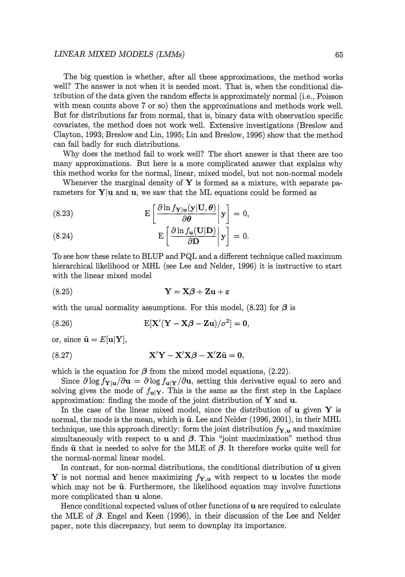#### *LINEAR MIXED MODELS (LMMs)* 65

The big question is whether, after all these approximations, the method works well? The answer is not when it is needed most. That is, when the conditional distribution of the data given the random effects is approximately normal (i.e., Poisson with mean counts above 7 or so) then the approximations and methods work well. But for distributions far from normal, that is, binary data with observation specific covariates, the method does not work well. Extensive investigations (Breslow and Clayton, 1993; Breslow and Lin, 1995; Lin and Breslow, 1996) show that the method can fail badly for such distributions.

Why does the method fail to work well? The short answer is that there are too many approximations. But here is a more complicated answer that explains why this method works for the normal, linear, mixed model, but not non-normal models

Whenever the marginal density of  $Y$  is formed as a mixture, with separate parameters for  $Y|u$  and  $u$ , we saw that the ML equations could be formed as

(8.23) 
$$
\mathbf{E}\left[\left.\frac{\partial \ln f_{\mathbf{Y}|\mathbf{u}}(\mathbf{y}|\mathbf{U},\boldsymbol{\theta})}{\partial \boldsymbol{\theta}}\right|\mathbf{y}\right]=0,
$$

(8.24) 
$$
E\left[\frac{\partial \ln f_{\mathbf{u}}(\mathbf{U}|\mathbf{D})}{\partial \mathbf{D}}\Big|\mathbf{y}\right] = 0.
$$

To see how these relate to BLUP and PQL and a different technique called maximum hierarchical likelihood or MHL (see Lee and Neider, 1996) it is instructive to start with the linear mixed model

(8.25) Y = X,B+Zu+e

with the usual normality assumptions. For this model,  $(8.23)$  for  $\beta$  is

(8.26) 
$$
E[X'(Y - X\beta - Zu)/\sigma^2] = 0,
$$

or, since  $\tilde{\mathbf{u}} = E[\mathbf{u}|\mathbf{Y}],$ 

(8.27) 
$$
\mathbf{X}'\mathbf{Y} - \mathbf{X}'\mathbf{X}\boldsymbol{\beta} - \mathbf{X}'\mathbf{Z}\tilde{\mathbf{u}} = \mathbf{0},
$$

which is the equation for  $\beta$  from the mixed model equations, (2.22).

Since  $\partial \log f_{\mathbf{Y}|\mathbf{u}}/\partial \mathbf{u} = \partial \log f_{\mathbf{u}|\mathbf{Y}}/\partial \mathbf{u}$ , setting this derivative equal to zero and solving gives the mode of  $f_{\mathbf{u}|\mathbf{Y}}$ . This is the same as the first step in the Laplace approximation: finding the mode of the joint distribution of  $Y$  and  $u$ .

In the case of the linear mixed model, since the distribution of  $\bf{u}$  given  $\bf{Y}$  is normal, the mode is the mean, which is  $\tilde{u}$ . Lee and Nelder (1996, 2001), in their MHL technique, use this approach directly: form the joint distribution  $f_{\Upsilon,\mathbf{u}}$  and maximize simultaneously with respect to **u** and  $\beta$ . This "joint maximization" method thus finds  $\tilde{u}$  that is needed to solve for the MLE of  $\beta$ . It therefore works quite well for the normal-normal linear model.

In contrast, for non-normal distributions, the conditional distribution of u given Y is not normal and hence maximizing  $f_{\mathbf{Y},u}$  with respect to u locates the mode which may not be  $\tilde{u}$ . Furthermore, the likelihood equation may involve functions more complicated than u alone.

Hence conditional expected values of other functions of u are required to calculate the MLE of  $\beta$ . Engel and Keen (1996), in their discussion of the Lee and Nelder paper, note this discrepancy, but seem to downplay its importance.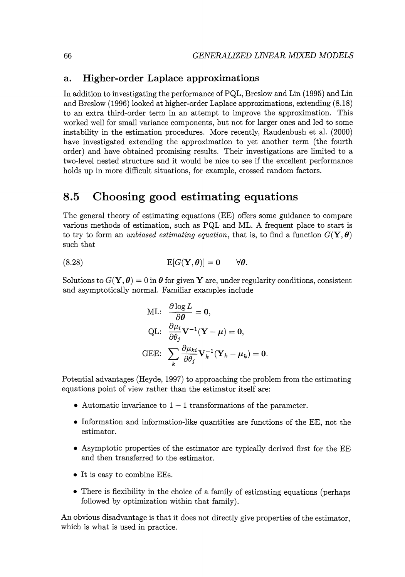#### **a. Higher-order Laplace approximations**

In addition to investigating the performance of PQL, Breslow and Lin (1995) and Lin and Breslow (1996) looked at higher-order Laplace approximations, extending (8.18) to an extra third-order term in an attempt to improve the approximation. This worked well for small variance components, but not for larger ones and led to some instability in the estimation procedures. More recently, Raudenbush et al. (2000) have investigated extending the approximation to yet another term (the fourth order) and have obtained promising results. Their investigations are limited to a two-level nested structure and it would be nice to see if the excellent performance holds up in more difficult situations, for example, crossed random factors.

### **8.5 Choosing good estimating equations**

The general theory of estimating equations (EE) offers some guidance to compare various methods of estimation, such as PQL and ML. A frequent place to start is to try to form an *unbiased estimating equation*, that is, to find a function  $G(Y, \theta)$ such that

$$
E[G(\mathbf{Y},\boldsymbol{\theta})]=\mathbf{0}\qquad\forall\boldsymbol{\theta}.
$$

Solutions to  $G(\mathbf{Y}, \boldsymbol{\theta}) = 0$  in  $\boldsymbol{\theta}$  for given Y are, under regularity conditions, consistent and asymptotically normal. Familiar examples include

$$
\begin{aligned} &\text{ML:} \quad \frac{\partial \log L}{\partial \boldsymbol{\theta}} = \mathbf{0}, \\ &\text{QL:} \quad \frac{\partial \mu_i}{\partial \theta_j} \mathbf{V}^{-1} (\mathbf{Y} - \boldsymbol{\mu}) = \mathbf{0}, \\ &\text{GEE:} \quad \sum_k \frac{\partial \mu_{ki}}{\partial \theta_j} \mathbf{V}_k^{-1} (\mathbf{Y}_k - \boldsymbol{\mu}_k) = \mathbf{0} \end{aligned}
$$

Potential advantages (Heyde, 1997) to approaching the problem from the estimating equations point of view rather than the estimator itself are:

- Automatic invariance to  $1-1$  transformations of the parameter.
- Information and information-like quantities are functions of the EE, not the estimator.
- Asymptotic properties of the estimator are typically derived first for the EE and then transferred to the estimator.
- It is easy to combine EEs.
- There is flexibility in the choice of a family of estimating equations (perhaps followed by optimization within that family).

An obvious disadvantage is that it does not directly give properties of the estimator, which is what is used in practice.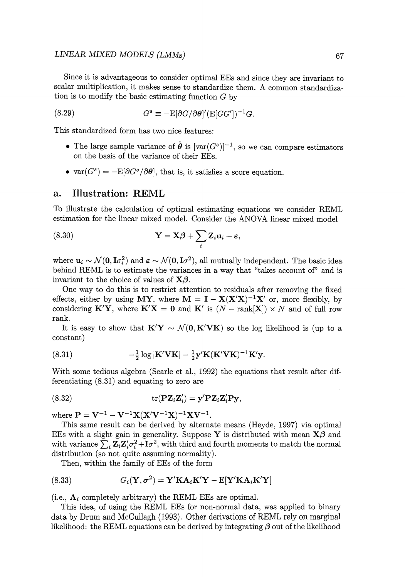#### *LINEAR MIXED MODELS (LMMs)* 67

Since it is advantageous to consider optimal EEs and since they are invariant to scalar multiplication, it makes sense to standardize them. A common standardization is to modify the basic estimating function *G* by

(8.29) 
$$
G^s \equiv -\mathbb{E}[\partial G/\partial \theta]'(\mathbb{E}[GG'])^{-1}G.
$$

This standardized form has two nice features:

- The large sample variance of  $\hat{\theta}$  is  $[var(G^s)]^{-1}$ , so we can compare estimators on the basis of the variance of their EEs.
- var $(G^s) = -E[\partial G^s/\partial \theta]$ , that is, it satisfies a score equation.

#### a. Illustration: REML

To illustrate the calculation of optimal estimating equations we consider REML estimation for the linear mixed model. Consider the ANOVA linear mixed model

(8.30) 
$$
\mathbf{Y} = \mathbf{X}\boldsymbol{\beta} + \sum_i \mathbf{Z}_i \mathbf{u}_i + \boldsymbol{\varepsilon},
$$

where  $\mathbf{u}_i \sim \mathcal{N}(\mathbf{0}, \mathbf{I}\sigma_i^2)$  and  $\boldsymbol{\varepsilon} \sim \mathcal{N}(\mathbf{0}, \mathbf{I}\sigma^2)$ , all mutually independent. The basic idea behind REML is to estimate the variances in a way that "takes account of'' and is invariant to the choice of values of  $X\beta$ .

One way to do this is to restrict attention to residuals after removing the fixed effects, either by using MY, where  $M = I - X(X'X)^{-1}X'$  or, more flexibly, by considering  $\mathbf{K}'\mathbf{Y}$ , where  $\mathbf{K}'\mathbf{X} = \mathbf{0}$  and  $\mathbf{K}'$  is  $(N - \text{rank}[\mathbf{X}]) \times N$  and of full row rank.

It is easy to show that  $K'Y \sim \mathcal{N}(0, K'VK)$  so the log likelihood is (up to a constant)

(8.31) 
$$
-\frac{1}{2}\log|\mathbf{K}'\mathbf{V}\mathbf{K}|-\frac{1}{2}\mathbf{y}'\mathbf{K}(\mathbf{K}'\mathbf{V}\mathbf{K})^{-1}\mathbf{K}'\mathbf{y}.
$$

With some tedious algebra (Searle et al., 1992) the equations that result after differentiating (8.31) and equating to zero are

$$
(8.32) \t\t\t tr(\mathbf{P}\mathbf{Z}_{i}\mathbf{Z}_{i}') = \mathbf{y}'\mathbf{P}\mathbf{Z}_{i}\mathbf{Z}_{i}'\mathbf{P}\mathbf{y},
$$

where  $P = V^{-1} - V^{-1}X(X'V^{-1}X)^{-1}XV^{-1}$ .

This same result can be derived by alternate means (Heyde, 1997) via optimal EEs with a slight gain in generality. Suppose Y is distributed with mean  $X\beta$  and with variance  $\sum_i \mathbf{Z}_i \mathbf{Z}_i' \sigma_i^2 + \mathbf{I} \sigma^2$ , with third and fourth moments to match the normal distribution (so not quite assuming normality).

Then, within the family of EEs of the form

(8.33) 
$$
G_i(\mathbf{Y}, \sigma^2) = \mathbf{Y}' \mathbf{K} \mathbf{A}_i \mathbf{K}' \mathbf{Y} - \mathrm{E}[\mathbf{Y}' \mathbf{K} \mathbf{A}_i \mathbf{K}' \mathbf{Y}]
$$

(i.e.,  $A_i$  completely arbitrary) the REML EEs are optimal.

This idea, of using the REML EEs for non-normal data, was applied to binary data by Drum and McCullagh (1993). Other derivations of REML rely on marginal likelihood: the REML equations can be derived by integrating  $\beta$  out of the likelihood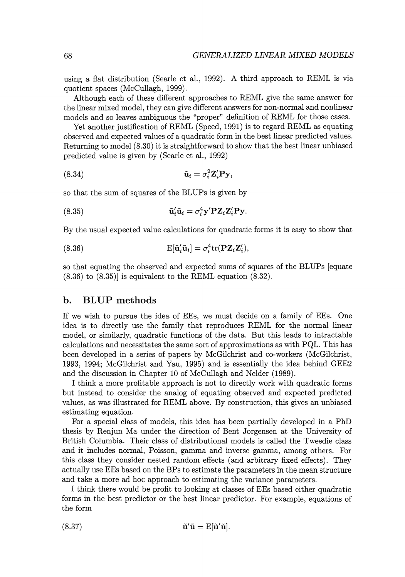using a flat distribution (Searle et al., 1992). A third approach to REML is via quotient spaces (McCullagh, 1999).

Although each of these different approaches to REML give the same answer for the linear mixed model, they can give different answers for non-normal and nonlinear models and so leaves ambiguous the "proper" definition of REML for those cases.

Yet another justification of REML (Speed, 1991) is to regard REML as equating observed and expected values of a quadratic form in the best linear predicted values. Returning to model (8.30) it is straightforward to show that the best linear unbiased predicted value is given by (Searle et al., 1992)

$$
\tilde{\mathbf{u}}_i = \sigma_i^2 \mathbf{Z}_i' \mathbf{P} \mathbf{y},
$$

so that the sum of squares of the BLUPs is given by

(8.35) 
$$
\tilde{\mathbf{u}}_i' \tilde{\mathbf{u}}_i = \sigma_i^4 \mathbf{y}' \mathbf{P} \mathbf{Z}_i \mathbf{Z}_i' \mathbf{P} \mathbf{y}.
$$

By the usual expected value calculations for quadratic forms it is easy to show that

(8.36) 
$$
E[\tilde{\mathbf{u}}_i'\tilde{\mathbf{u}}_i] = \sigma_i^4 tr(\mathbf{P} \mathbf{Z}_i \mathbf{Z}_i'),
$$

so that equating the observed and expected sums of squares of the BLUPs [equate  $(8.36)$  to  $(8.35)$ ] is equivalent to the REML equation  $(8.32)$ .

#### **b. BL UP methods**

If we wish to pursue the idea of EEs, we must decide on a family of EEs. One idea is to directly use the family that reproduces REML for the normal linear model, or similarly, quadratic functions of the data. But this leads to intractable calculations and necessitates the same sort of approximations as with PQL. This has been developed in a series of papers by McGilchrist and co-workers (McGilchrist, 1993, 1994; McGilchrist and Yau, 1995) and is essentially the idea behind GEE2 and the discussion in Chapter 10 of McCullagh and Neider (1989).

I think a more profitable approach is not to directly work with quadratic forms but instead to consider the analog of equating observed and expected predicted values, as was illustrated for REML above. By construction, this gives an unbiased estimating equation.

For a special class of models, this idea has been partially developed in a PhD thesis by Renjun Ma under the direction of Bent Jorgensen at the University of British Columbia. Their class of distributional models is called the Tweedie class and it includes normal, Poisson, gamma and inverse gamma, among others. For this class they consider nested random effects (and arbitrary fixed effects). They actually use EEs based on the BPs to estimate the parameters in the mean structure and take a more ad hoc approach to estimating the variance parameters.

I think there would be profit to looking at classes of EEs based either quadratic forms in the best predictor or the best linear predictor. For example, equations of the form

(8.37) 
$$
\tilde{\mathbf{u}}'\tilde{\mathbf{u}} = \mathbf{E}[\tilde{\mathbf{u}}'\tilde{\mathbf{u}}].
$$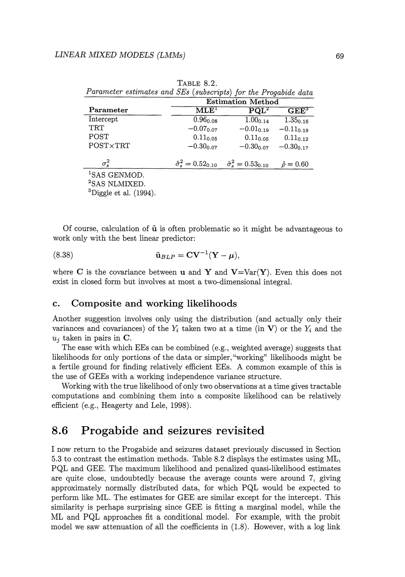|                                            | <b>Estimation Method</b>           |                                  |                     |  |  |
|--------------------------------------------|------------------------------------|----------------------------------|---------------------|--|--|
| Parameter                                  | $\mathrm{MLE}^1$                   | $\mathbf{POL}^2$                 | $\mathbf{GEE}^3$    |  |  |
| Intercept                                  | $0.96_{0.08}$                      | $1.00_{0.14}$                    | $1.35_{0.16}$       |  |  |
| TRT                                        | $-0.07$ <sub>0.07</sub>            | $-0.01_{0.19}$                   | $-0.11_{0.19}$      |  |  |
| POST                                       | $0.11_{0.05}$                      | $0.11_{0.05}$                    | $0.11_{0.12}$       |  |  |
| POST×TRT                                   | $-0.30_{0.07}$                     | $-0.30_{0.07}$                   | $-0.30_{0.17}$      |  |  |
| $\sigma_s^2$                               | $\hat{\sigma}_{s}^{2}=0.52_{0.10}$ | $\hat{\sigma}_s^2 = 0.53_{0.10}$ | $\hat{\rho} = 0.60$ |  |  |
| <sup>1</sup> SAS GENMOD.                   |                                    |                                  |                     |  |  |
| $2c \wedge c$ nit mit $v$ for $\mathbb{R}$ |                                    |                                  |                     |  |  |

TABLE 8.2. *Parameter estimates and SEs (subscripts) for the Progabide data* 

<sup>2</sup>SAS NLMIXED.<br><sup>3</sup>Diggle et al. (1994).

Of course, calculation of **ii** is often problematic so it might be advantageous to work only with the best linear predictor:

$$
\tilde{\mathbf{u}}_{BLP} = \mathbf{C}\mathbf{V}^{-1}(\mathbf{Y} - \boldsymbol{\mu}),
$$

where C is the covariance between **u** and Y and  $V = Var(Y)$ . Even this does not exist in closed form but involves at most a two-dimensional integral.

#### **c. Composite and working likelihoods**

Another suggestion involves only using the distribution (and actually only their variances and covariances) of the  $Y_i$  taken two at a time (in V) or the  $Y_i$  and the  $u_i$  taken in pairs in  $C$ .

The ease with which EEs can be combined (e.g., weighted average) suggests that likelihoods for only portions of the data or simpler, "working" likelihoods might be a fertile ground for finding relatively efficient EEs. A common example of this is the use of GEEs with a working independence variance structure.

Working with the true likelihood of only two observations at a time gives tractable computations and combining them into a composite likelihood can be relatively efficient (e.g., Heagerty and Lele, 1998).

### **8.6 Progabide and seizures revisited**

I now return to the Progabide and seizures dataset previously discussed in Section 5.3 to contrast the estimation methods. Table 8.2 displays the estimates using ML, PQL and GEE. The maximum likelihood and penalized quasi-likelihood estimates are quite close, undoubtedly because the average counts were around 7, giving approximately normally distributed data, for which PQL would be expected to perform like ML. The estimates for GEE are similar except for the intercept. This similarity is perhaps surprising since GEE is fitting a marginal model, while the ML and PQL approaches fit a conditional model. For example, with the probit model we saw attenuation of all the coefficients in (1.8). However, with a log link